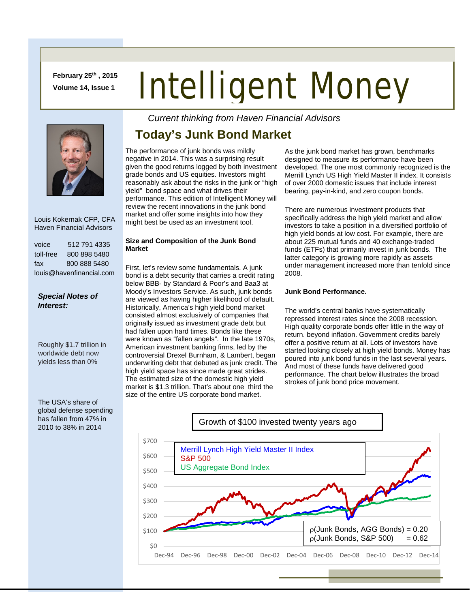**February 25th , 2015 Volume 14, Issue 1**

# Intelligent Money



 Louis Kokernak CFP, CFA Haven Financial Advisors

| voice                    | 512 791 4335 |  |
|--------------------------|--------------|--|
| toll-free                | 800 898 5480 |  |
| fax                      | 800 888 5480 |  |
| louis@havenfinancial.com |              |  |

### *Special Notes of Interest:*

Roughly \$1.7 trillion in worldwide debt now yields less than 0%

The USA's share of global defense spending has fallen from 47% in 2010 to 38% in 2014

*Current thinking from Haven Financial Advisors* 

## **Today's Junk Bond Market**

The performance of junk bonds was mildly negative in 2014. This was a surprising result given the good returns logged by both investment grade bonds and US equities. Investors might reasonably ask about the risks in the junk or "high yield" bond space and what drives their performance. This edition of Intelligent Money will review the recent innovations in the junk bond market and offer some insights into how they might best be used as an investment tool.

#### **Size and Composition of the Junk Bond Market**

First, let's review some fundamentals. A junk bond is a debt security that carries a credit rating below BBB- by Standard & Poor's and Baa3 at Moody's Investors Service. As such, junk bonds are viewed as having higher likelihood of default. Historically, America's high yield bond market consisted almost exclusively of companies that originally issued as investment grade debt but had fallen upon hard times. Bonds like these were known as "fallen angels". In the late 1970s, American investment banking firms, led by the controversial Drexel Burnham, & Lambert, began underwriting debt that debuted as junk credit. The high yield space has since made great strides. The estimated size of the domestic high yield market is \$1.3 trillion. That's about one third the size of the entire US corporate bond market.

As the junk bond market has grown, benchmarks designed to measure its performance have been developed. The one most commonly recognized is the Merrill Lynch US High Yield Master II index. It consists of over 2000 domestic issues that include interest bearing, pay-in-kind, and zero coupon bonds.

There are numerous investment products that specifically address the high yield market and allow investors to take a position in a diversified portfolio of high yield bonds at low cost. For example, there are about 225 mutual funds and 40 exchange-traded funds (ETFs) that primarily invest in junk bonds. The latter category is growing more rapidly as assets under management increased more than tenfold since 2008.

#### **Junk Bond Performance.**

The world's central banks have systematically repressed interest rates since the 2008 recession. High quality corporate bonds offer little in the way of return. beyond inflation. Government credits barely offer a positive return at all. Lots of investors have started looking closely at high yield bonds. Money has poured into junk bond funds in the last several years. And most of these funds have delivered good performance. The chart below illustrates the broad strokes of junk bond price movement.

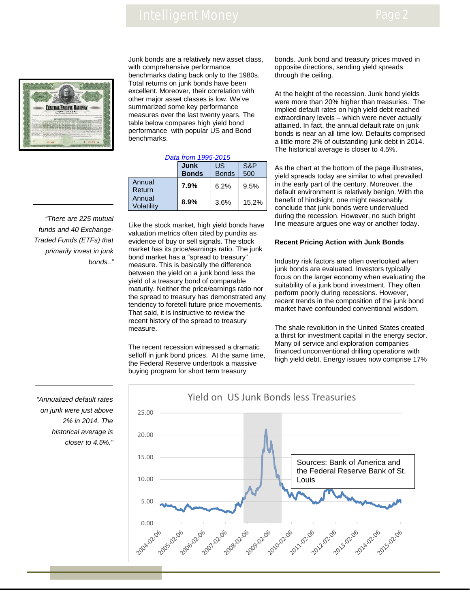## Intelligent Money



Junk bonds are a relatively new asset class, with comprehensive performance benchmarks dating back only to the 1980s. Total returns on junk bonds have been excellent. Moreover, their correlation with other major asset classes is low. We've summarized some key performance measures over the last twenty years. The table below compares high yield bond performance with popular US and Bond benchmarks.

#### *Data from 1995-2015*

|                      | Junk<br><b>Bonds</b> | US<br><b>Bonds</b> | S&P<br>500 |
|----------------------|----------------------|--------------------|------------|
| Annual<br>Return     | 7.9%                 | 6.2%               | 9.5%       |
| Annual<br>Volatilitv | 8.9%                 | 3.6%               | 15.2%      |

*"There are 225 mutual funds and 40 Exchange-Traded Funds (ETFs) that primarily invest in junk bonds.."*

Like the stock market, high yield bonds have valuation metrics often cited by pundits as evidence of buy or sell signals. The stock market has its price/earnings ratio. The junk bond market has a "spread to treasury" measure. This is basically the difference between the yield on a junk bond less the yield of a treasury bond of comparable maturity. Neither the price/earnings ratio nor the spread to treasury has demonstrated any tendency to foretell future price movements. That said, it is instructive to review the recent history of the spread to treasury measure.

The recent recession witnessed a dramatic selloff in junk bond prices. At the same time, the Federal Reserve undertook a massive buying program for short term treasury

bonds. Junk bond and treasury prices moved in opposite directions, sending yield spreads through the ceiling.

At the height of the recession. Junk bond yields were more than 20% higher than treasuries. The implied default rates on high yield debt reached extraordinary levels – which were never actually attained. In fact, the annual default rate on junk bonds is near an all time low. Defaults comprised a little more 2% of outstanding junk debt in 2014. The historical average is closer to 4.5%.

As the chart at the bottom of the page illustrates, yield spreads today are similar to what prevailed in the early part of the century. Moreover, the default environment is relatively benign. With the benefit of hindsight, one might reasonably conclude that junk bonds were undervalued during the recession. However, no such bright line measure argues one way or another today.

#### **Recent Pricing Action with Junk Bonds**

Industry risk factors are often overlooked when junk bonds are evaluated. Investors typically focus on the larger economy when evaluating the suitability of a junk bond investment. They often perform poorly during recessions. However, recent trends in the composition of the junk bond market have confounded conventional wisdom.

The shale revolution in the United States created a thirst for investment capital in the energy sector. Many oil service and exploration companies financed unconventional drilling operations with high yield debt. Energy issues now comprise 17%

Yield on US Junk Bonds less Treasuries 25.00 20.00 15.00 Sources: Bank of America and the Federal Reserve Bank of St. 10.00 Louis5.00 0.00 2011-102.06 2008-02-06 2009-02-06 2010-02-06 2006-02-06 2007.02.06 2011-02-30-02-02-02-02-02-02-02

*"Annualized default rates on junk were just above 2% in 2014. The historical average is closer to 4.5%."*